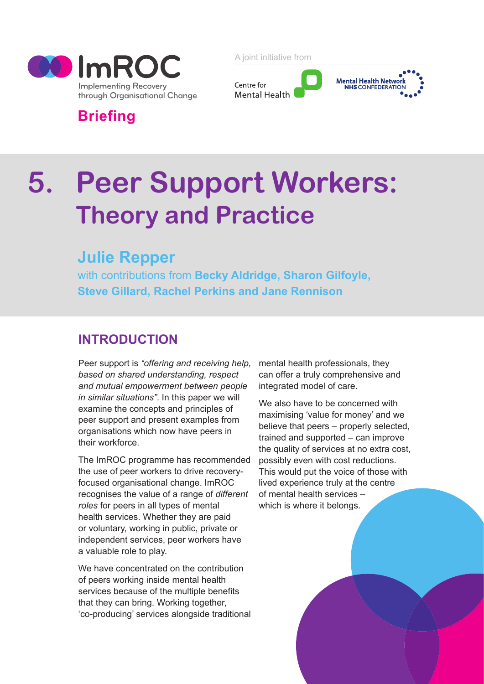

A joint initiative from



# **Briefing**

# **5. Peer Support Workers: Theory and Practice**

# **Julie Repper**

with contributions from **Becky Aldridge, Sharon Gilfoyle, Steve Gillard, Rachel Perkins and Jane Rennison**

#### **INTRODUCTION**

Peer support is *"offering and receiving help, based on shared understanding, respect and mutual empowerment between people in similar situations"*. In this paper we will examine the concepts and principles of peer support and present examples from organisations which now have peers in their workforce.

The ImROC programme has recommended the use of peer workers to drive recoveryfocused organisational change. ImROC recognises the value of a range of *different roles* for peers in all types of mental health services. Whether they are paid or voluntary, working in public, private or independent services, peer workers have a valuable role to play.

We have concentrated on the contribution of peers working inside mental health services because of the multiple benefits that they can bring. Working together, 'co-producing' services alongside traditional mental health professionals, they can offer a truly comprehensive and integrated model of care.

We also have to be concerned with maximising 'value for money' and we believe that peers – properly selected, trained and supported – can improve the quality of services at no extra cost, possibly even with cost reductions. This would put the voice of those with lived experience truly at the centre of mental health services – which is where it belongs.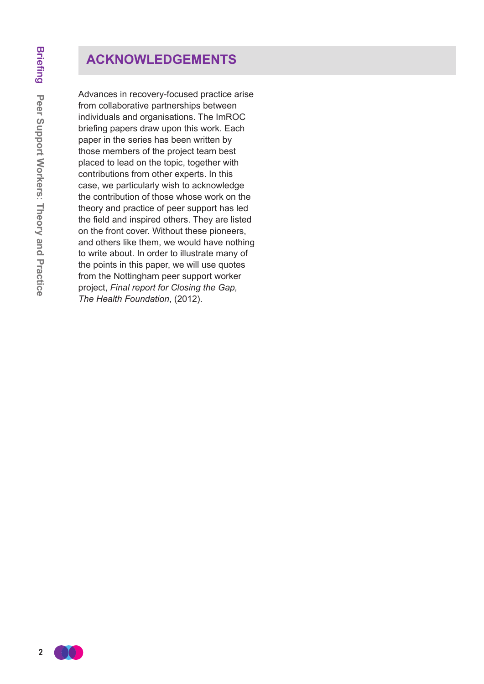#### **ACKNOWLEDGEMENTS**

Advances in recovery-focused practice arise from collaborative partnerships between individuals and organisations. The ImROC briefing papers draw upon this work. Each paper in the series has been written by those members of the project team best placed to lead on the topic, together with contributions from other experts. In this case, we particularly wish to acknowledge the contribution of those whose work on the theory and practice of peer support has led the field and inspired others. They are listed on the front cover. Without these pioneers, and others like them, we would have nothing to write about. In order to illustrate many of the points in this paper, we will use quotes from the Nottingham peer support worker project, *Final report for Closing the Gap, The Health Foundation*, (2012).

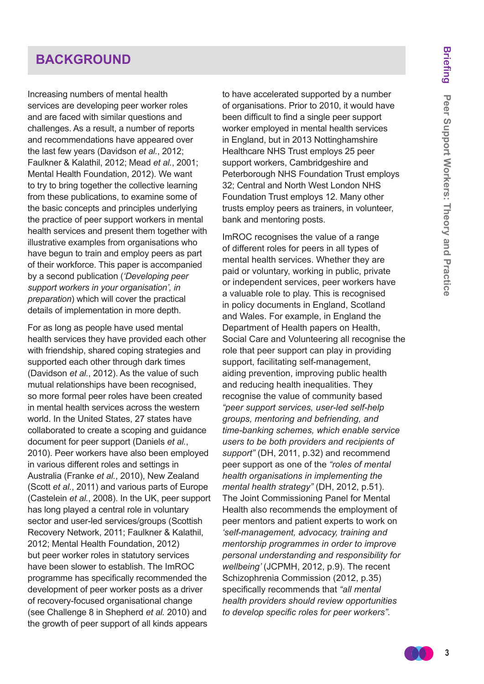#### **BACKGROUND**

Increasing numbers of mental health services are developing peer worker roles and are faced with similar questions and challenges. As a result, a number of reports and recommendations have appeared over the last few years (Davidson *et al.*, 2012; Faulkner & Kalathil, 2012; Mead *et al.*, 2001; Mental Health Foundation, 2012). We want to try to bring together the collective learning from these publications, to examine some of the basic concepts and principles underlying the practice of peer support workers in mental health services and present them together with illustrative examples from organisations who have begun to train and employ peers as part of their workforce. This paper is accompanied by a second publication (*'Developing peer support workers in your organisation', in preparation*) which will cover the practical details of implementation in more depth.

For as long as people have used mental health services they have provided each other with friendship, shared coping strategies and supported each other through dark times (Davidson *et al.*, 2012). As the value of such mutual relationships have been recognised, so more formal peer roles have been created in mental health services across the western world. In the United States, 27 states have collaborated to create a scoping and guidance document for peer support (Daniels *et al.*, 2010). Peer workers have also been employed in various different roles and settings in Australia (Franke *et al.*, 2010), New Zealand (Scott *et al.*, 2011) and various parts of Europe (Castelein *et al.*, 2008). In the UK, peer support has long played a central role in voluntary sector and user-led services/groups (Scottish Recovery Network, 2011; Faulkner & Kalathil, 2012; Mental Health Foundation, 2012) but peer worker roles in statutory services have been slower to establish. The ImROC programme has specifically recommended the development of peer worker posts as a driver of recovery-focused organisational change (see Challenge 8 in Shepherd *et al.* 2010) and the growth of peer support of all kinds appears

to have accelerated supported by a number of organisations. Prior to 2010, it would have been difficult to find a single peer support worker employed in mental health services in England, but in 2013 Nottinghamshire Healthcare NHS Trust employs 25 peer support workers, Cambridgeshire and Peterborough NHS Foundation Trust employs 32; Central and North West London NHS Foundation Trust employs 12. Many other trusts employ peers as trainers, in volunteer, bank and mentoring posts.

ImROC recognises the value of a range of different roles for peers in all types of mental health services. Whether they are paid or voluntary, working in public, private or independent services, peer workers have a valuable role to play. This is recognised in policy documents in England, Scotland and Wales. For example, in England the Department of Health papers on Health, Social Care and Volunteering all recognise the role that peer support can play in providing support, facilitating self-management, aiding prevention, improving public health and reducing health inequalities. They recognise the value of community based *"peer support services, user-led self-help groups, mentoring and befriending, and time-banking schemes, which enable service users to be both providers and recipients of support"* (DH, 2011, p.32) and recommend peer support as one of the *"roles of mental health organisations in implementing the mental health strategy"* (DH, 2012, p.51). The Joint Commissioning Panel for Mental Health also recommends the employment of peer mentors and patient experts to work on *'self-management, advocacy, training and mentorship programmes in order to improve personal understanding and responsibility for wellbeing'* (JCPMH, 2012, p.9). The recent Schizophrenia Commission (2012, p.35) specifically recommends that *"all mental health providers should review opportunities to develop specific roles for peer workers".*

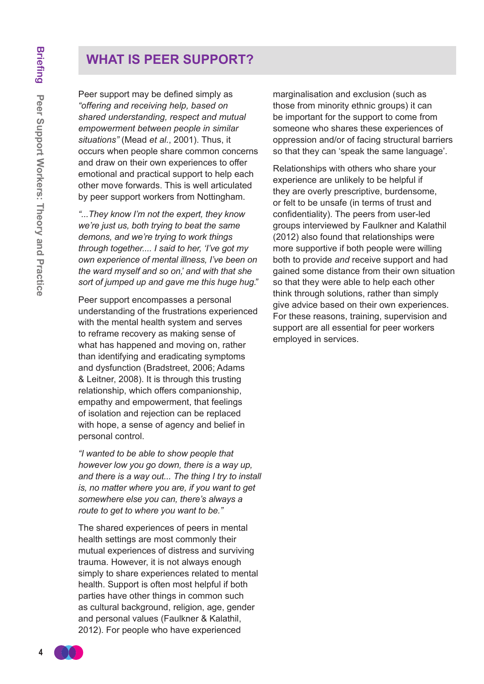# **WHAT IS PEER SUPPORT?**

Peer support may be defined simply as *"offering and receiving help, based on shared understanding, respect and mutual empowerment between people in similar situations"* (Mead *et al.*, 2001). Thus, it occurs when people share common concerns and draw on their own experiences to offer emotional and practical support to help each other move forwards. This is well articulated by peer support workers from Nottingham.

*"...They know I'm not the expert, they know we're just us, both trying to beat the same demons, and we're trying to work things through together.... I said to her, 'I've got my own experience of mental illness, I've been on the ward myself and so on,' and with that she sort of jumped up and gave me this huge hug."*

Peer support encompasses a personal understanding of the frustrations experienced with the mental health system and serves to reframe recovery as making sense of what has happened and moving on, rather than identifying and eradicating symptoms and dysfunction (Bradstreet, 2006; Adams & Leitner, 2008). It is through this trusting relationship, which offers companionship, empathy and empowerment, that feelings of isolation and rejection can be replaced with hope, a sense of agency and belief in personal control.

*"I wanted to be able to show people that however low you go down, there is a way up, and there is a way out... The thing I try to install is, no matter where you are, if you want to get somewhere else you can, there's always a route to get to where you want to be."*

The shared experiences of peers in mental health settings are most commonly their mutual experiences of distress and surviving trauma. However, it is not always enough simply to share experiences related to mental health. Support is often most helpful if both parties have other things in common such as cultural background, religion, age, gender and personal values (Faulkner & Kalathil, 2012). For people who have experienced

marginalisation and exclusion (such as those from minority ethnic groups) it can be important for the support to come from someone who shares these experiences of oppression and/or of facing structural barriers so that they can 'speak the same language'.

Relationships with others who share your experience are unlikely to be helpful if they are overly prescriptive, burdensome, or felt to be unsafe (in terms of trust and confidentiality). The peers from user-led groups interviewed by Faulkner and Kalathil (2012) also found that relationships were more supportive if both people were willing both to provide *and* receive support and had gained some distance from their own situation so that they were able to help each other think through solutions, rather than simply give advice based on their own experiences. For these reasons, training, supervision and support are all essential for peer workers employed in services.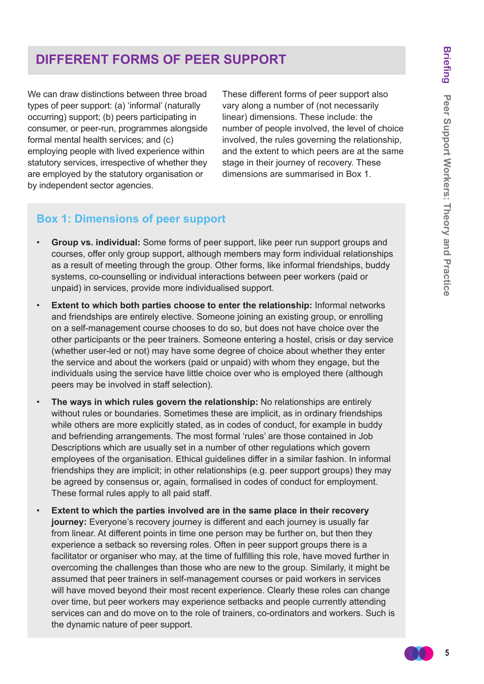#### **DIFFERENT FORMS OF PEER SUPPORT**

We can draw distinctions between three broad types of peer support: (a) 'informal' (naturally occurring) support; (b) peers participating in consumer, or peer-run, programmes alongside formal mental health services; and (c) employing people with lived experience within statutory services, irrespective of whether they are employed by the statutory organisation or by independent sector agencies.

These different forms of peer support also vary along a number of (not necessarily linear) dimensions. These include: the number of people involved, the level of choice involved, the rules governing the relationship, and the extent to which peers are at the same stage in their journey of recovery. These dimensions are summarised in Box 1.

#### **Box 1: Dimensions of peer support**

- **Group vs. individual:** Some forms of peer support, like peer run support groups and courses, offer only group support, although members may form individual relationships as a result of meeting through the group. Other forms, like informal friendships, buddy systems, co-counselling or individual interactions between peer workers (paid or unpaid) in services, provide more individualised support.
- **Extent to which both parties choose to enter the relationship:** Informal networks and friendships are entirely elective. Someone joining an existing group, or enrolling on a self-management course chooses to do so, but does not have choice over the other participants or the peer trainers. Someone entering a hostel, crisis or day service (whether user-led or not) may have some degree of choice about whether they enter the service and about the workers (paid or unpaid) with whom they engage, but the individuals using the service have little choice over who is employed there (although peers may be involved in staff selection).
- **The ways in which rules govern the relationship:** No relationships are entirely without rules or boundaries. Sometimes these are implicit, as in ordinary friendships while others are more explicitly stated, as in codes of conduct, for example in buddy and befriending arrangements. The most formal 'rules' are those contained in Job Descriptions which are usually set in a number of other regulations which govern employees of the organisation. Ethical guidelines differ in a similar fashion. In informal friendships they are implicit; in other relationships (e.g. peer support groups) they may be agreed by consensus or, again, formalised in codes of conduct for employment. These formal rules apply to all paid staff.
- **Extent to which the parties involved are in the same place in their recovery journey:** Everyone's recovery journey is different and each journey is usually far from linear. At different points in time one person may be further on, but then they experience a setback so reversing roles. Often in peer support groups there is a facilitator or organiser who may, at the time of fulfilling this role, have moved further in overcoming the challenges than those who are new to the group. Similarly, it might be assumed that peer trainers in self-management courses or paid workers in services will have moved beyond their most recent experience. Clearly these roles can change over time, but peer workers may experience setbacks and people currently attending services can and do move on to the role of trainers, co-ordinators and workers. Such is the dynamic nature of peer support.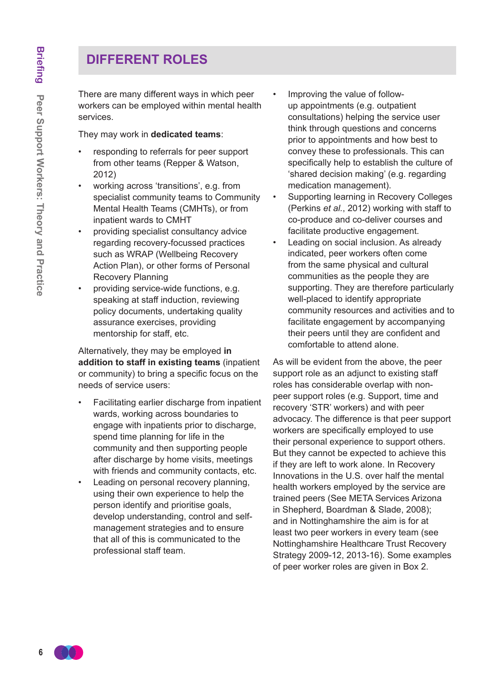# **DIFFERENT ROLES**

There are many different ways in which peer workers can be employed within mental health services.

They may work in **dedicated teams**:

- responding to referrals for peer support from other teams (Repper & Watson, 2012)
- working across 'transitions', e.g. from specialist community teams to Community Mental Health Teams (CMHTs), or from inpatient wards to CMHT
- providing specialist consultancy advice regarding recovery-focussed practices such as WRAP (Wellbeing Recovery Action Plan), or other forms of Personal Recovery Planning
- providing service-wide functions, e.g. speaking at staff induction, reviewing policy documents, undertaking quality assurance exercises, providing mentorship for staff, etc.

Alternatively, they may be employed **in addition to staff in existing teams** (inpatient or community) to bring a specific focus on the needs of service users:

- Facilitating earlier discharge from inpatient wards, working across boundaries to engage with inpatients prior to discharge, spend time planning for life in the community and then supporting people after discharge by home visits, meetings with friends and community contacts, etc.
- Leading on personal recovery planning, using their own experience to help the person identify and prioritise goals, develop understanding, control and selfmanagement strategies and to ensure that all of this is communicated to the professional staff team.
- Improving the value of followup appointments (e.g. outpatient consultations) helping the service user think through questions and concerns prior to appointments and how best to convey these to professionals. This can specifically help to establish the culture of 'shared decision making' (e.g. regarding medication management).
- Supporting learning in Recovery Colleges (Perkins *et al.*, 2012) working with staff to co-produce and co-deliver courses and facilitate productive engagement.
- Leading on social inclusion. As already indicated, peer workers often come from the same physical and cultural communities as the people they are supporting. They are therefore particularly well-placed to identify appropriate community resources and activities and to facilitate engagement by accompanying their peers until they are confident and comfortable to attend alone.

As will be evident from the above, the peer support role as an adjunct to existing staff roles has considerable overlap with nonpeer support roles (e.g. Support, time and recovery 'STR' workers) and with peer advocacy. The difference is that peer support workers are specifically employed to use their personal experience to support others. But they cannot be expected to achieve this if they are left to work alone. In Recovery Innovations in the U.S. over half the mental health workers employed by the service are trained peers (See META Services Arizona in Shepherd, Boardman & Slade, 2008); and in Nottinghamshire the aim is for at least two peer workers in every team (see Nottinghamshire Healthcare Trust Recovery Strategy 2009-12, 2013-16). Some examples of peer worker roles are given in Box 2.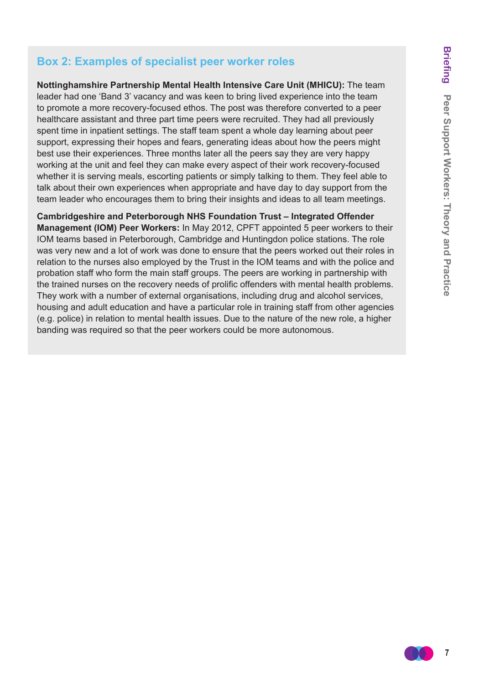#### **Box 2: Examples of specialist peer worker roles**

**Nottinghamshire Partnership Mental Health Intensive Care Unit (MHICU):** The team leader had one 'Band 3' vacancy and was keen to bring lived experience into the team to promote a more recovery-focused ethos. The post was therefore converted to a peer healthcare assistant and three part time peers were recruited. They had all previously spent time in inpatient settings. The staff team spent a whole day learning about peer support, expressing their hopes and fears, generating ideas about how the peers might best use their experiences. Three months later all the peers say they are very happy working at the unit and feel they can make every aspect of their work recovery-focused whether it is serving meals, escorting patients or simply talking to them. They feel able to talk about their own experiences when appropriate and have day to day support from the team leader who encourages them to bring their insights and ideas to all team meetings.

**Cambridgeshire and Peterborough NHS Foundation Trust – Integrated Offender** 

**Management (IOM) Peer Workers:** In May 2012, CPFT appointed 5 peer workers to their IOM teams based in Peterborough, Cambridge and Huntingdon police stations. The role was very new and a lot of work was done to ensure that the peers worked out their roles in relation to the nurses also employed by the Trust in the IOM teams and with the police and probation staff who form the main staff groups. The peers are working in partnership with the trained nurses on the recovery needs of prolific offenders with mental health problems. They work with a number of external organisations, including drug and alcohol services, housing and adult education and have a particular role in training staff from other agencies (e.g. police) in relation to mental health issues. Due to the nature of the new role, a higher banding was required so that the peer workers could be more autonomous.

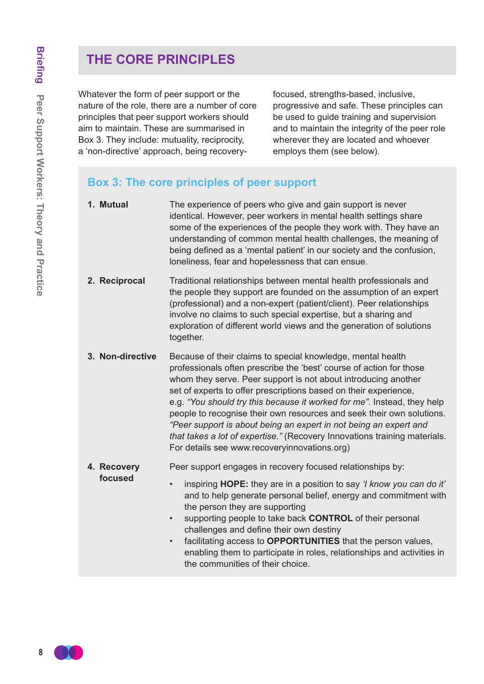# **THE CORE PRINCIPLES**

Whatever the form of peer support or the nature of the role, there are a number of core principles that peer support workers should aim to maintain. These are summarised in Box 3. They include: mutuality, reciprocity, a 'non-directive' approach, being recoveryfocused, strengths-based, inclusive, progressive and safe. These principles can be used to guide training and supervision and to maintain the integrity of the peer role wherever they are located and whoever employs them (see below).

#### **Box 3: The core principles of peer support**

- **1. Mutual** The experience of peers who give and gain support is never identical. However, peer workers in mental health settings share some of the experiences of the people they work with. They have an understanding of common mental health challenges, the meaning of being defined as a 'mental patient' in our society and the confusion, loneliness, fear and hopelessness that can ensue.
- **2. Reciprocal** Traditional relationships between mental health professionals and the people they support are founded on the assumption of an expert (professional) and a non-expert (patient/client). Peer relationships involve no claims to such special expertise, but a sharing and exploration of different world views and the generation of solutions together.
- **3. Non-directive** Because of their claims to special knowledge, mental health professionals often prescribe the 'best' course of action for those whom they serve. Peer support is not about introducing another set of experts to offer prescriptions based on their experience, e.g. *"You should try this because it worked for me"*. Instead, they help people to recognise their own resources and seek their own solutions. *"Peer support is about being an expert in not being an expert and that takes a lot of expertise."* (Recovery Innovations training materials. For details see www.recoveryinnovations.org)

#### **4. Recovery**  Peer support engages in recovery focused relationships by:

- **focused**
- inspiring **HOPE:** they are in a position to say *'I know you can do it'*  and to help generate personal belief, energy and commitment with the person they are supporting
- supporting people to take back **CONTROL** of their personal challenges and define their own destiny
- facilitating access to **OPPORTUNITIES** that the person values, enabling them to participate in roles, relationships and activities in the communities of their choice.

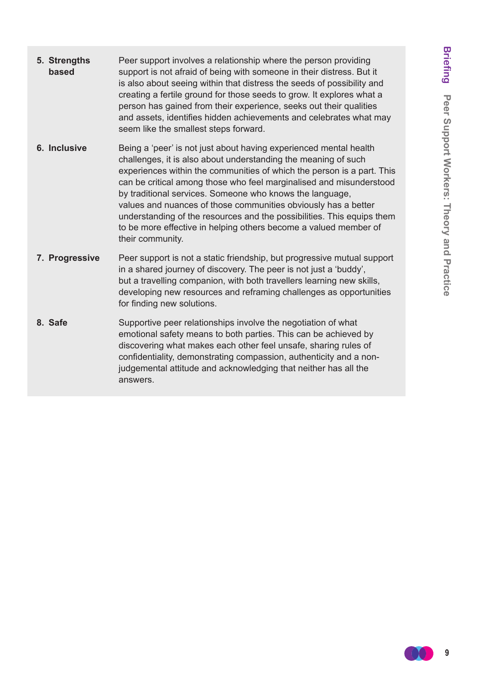- **5. Strengths based** Peer support involves a relationship where the person providing support is not afraid of being with someone in their distress. But it is also about seeing within that distress the seeds of possibility and creating a fertile ground for those seeds to grow. It explores what a person has gained from their experience, seeks out their qualities and assets, identifies hidden achievements and celebrates what may seem like the smallest steps forward.
- **6. Inclusive** Being a 'peer' is not just about having experienced mental health challenges, it is also about understanding the meaning of such experiences within the communities of which the person is a part. This can be critical among those who feel marginalised and misunderstood by traditional services. Someone who knows the language, values and nuances of those communities obviously has a better understanding of the resources and the possibilities. This equips them to be more effective in helping others become a valued member of their community.
- **7. Progressive** Peer support is not a static friendship, but progressive mutual support in a shared journey of discovery. The peer is not just a 'buddy', but a travelling companion, with both travellers learning new skills, developing new resources and reframing challenges as opportunities for finding new solutions.
- **8. Safe** Supportive peer relationships involve the negotiation of what emotional safety means to both parties. This can be achieved by discovering what makes each other feel unsafe, sharing rules of confidentiality, demonstrating compassion, authenticity and a nonjudgemental attitude and acknowledging that neither has all the answers.

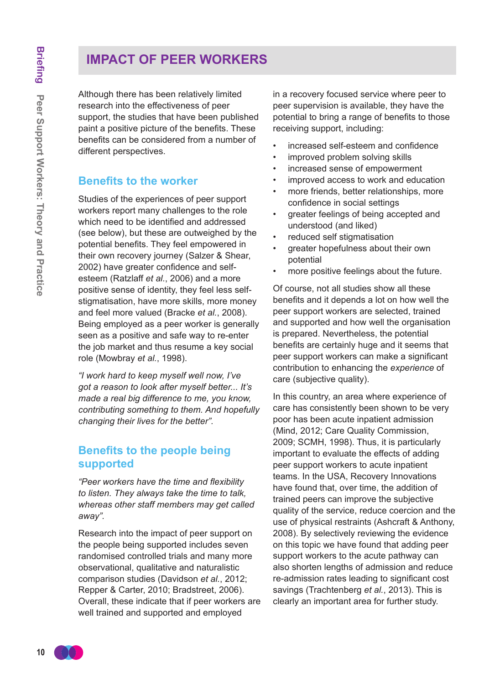# **IMPACT OF PEER WORKERS**

Although there has been relatively limited research into the effectiveness of peer support, the studies that have been published paint a positive picture of the benefits. These benefits can be considered from a number of different perspectives.

#### **Benefits to the worker**

Studies of the experiences of peer support workers report many challenges to the role which need to be identified and addressed (see below), but these are outweighed by the potential benefits. They feel empowered in their own recovery journey (Salzer & Shear, 2002) have greater confidence and selfesteem (Ratzlaff *et al.*, 2006) and a more positive sense of identity, they feel less selfstigmatisation, have more skills, more money and feel more valued (Bracke *et al.*, 2008). Being employed as a peer worker is generally seen as a positive and safe way to re-enter the job market and thus resume a key social role (Mowbray *et al.*, 1998).

*"I work hard to keep myself well now, I've got a reason to look after myself better... It's made a real big difference to me, you know, contributing something to them. And hopefully changing their lives for the better".*

#### **Benefits to the people being supported**

*"Peer workers have the time and flexibility to listen. They always take the time to talk, whereas other staff members may get called away".*

Research into the impact of peer support on the people being supported includes seven randomised controlled trials and many more observational, qualitative and naturalistic comparison studies (Davidson *et al.*, 2012; Repper & Carter, 2010; Bradstreet, 2006). Overall, these indicate that if peer workers are well trained and supported and employed

in a recovery focused service where peer to peer supervision is available, they have the potential to bring a range of benefits to those receiving support, including:

- increased self-esteem and confidence
- improved problem solving skills
- increased sense of empowerment
- improved access to work and education
- more friends, better relationships, more confidence in social settings
- greater feelings of being accepted and understood (and liked)
- reduced self stigmatisation
- greater hopefulness about their own potential
- more positive feelings about the future.

Of course, not all studies show all these benefits and it depends a lot on how well the peer support workers are selected, trained and supported and how well the organisation is prepared. Nevertheless, the potential benefits are certainly huge and it seems that peer support workers can make a significant contribution to enhancing the *experience* of care (subjective quality).

In this country, an area where experience of care has consistently been shown to be very poor has been acute inpatient admission (Mind, 2012; Care Quality Commission, 2009; SCMH, 1998). Thus, it is particularly important to evaluate the effects of adding peer support workers to acute inpatient teams. In the USA, Recovery Innovations have found that, over time, the addition of trained peers can improve the subjective quality of the service, reduce coercion and the use of physical restraints (Ashcraft & Anthony, 2008). By selectively reviewing the evidence on this topic we have found that adding peer support workers to the acute pathway can also shorten lengths of admission and reduce re-admission rates leading to significant cost savings (Trachtenberg *et al.*, 2013). This is clearly an important area for further study.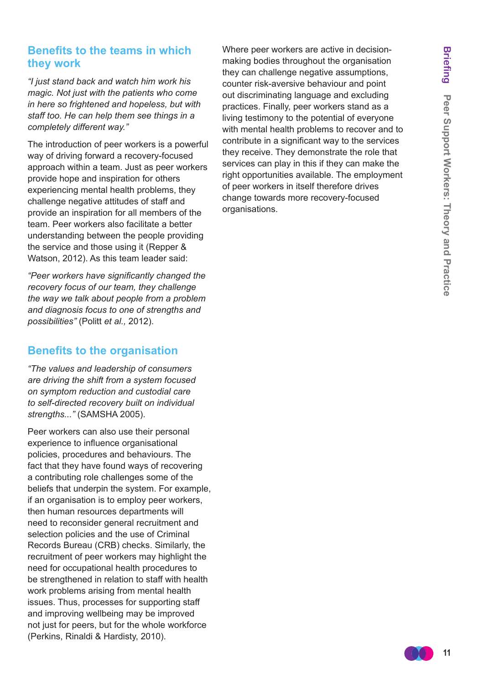#### **Benefits to the teams in which they work**

*"I just stand back and watch him work his magic. Not just with the patients who come in here so frightened and hopeless, but with staff too. He can help them see things in a completely different way."*

The introduction of peer workers is a powerful way of driving forward a recovery-focused approach within a team. Just as peer workers provide hope and inspiration for others experiencing mental health problems, they challenge negative attitudes of staff and provide an inspiration for all members of the team. Peer workers also facilitate a better understanding between the people providing the service and those using it (Repper & Watson, 2012). As this team leader said:

*"Peer workers have significantly changed the recovery focus of our team, they challenge the way we talk about people from a problem and diagnosis focus to one of strengths and possibilities"* (Politt *et al.,* 2012).

#### **Benefits to the organisation**

*"The values and leadership of consumers are driving the shift from a system focused on symptom reduction and custodial care to self-directed recovery built on individual strengths..."* (SAMSHA 2005).

Peer workers can also use their personal experience to influence organisational policies, procedures and behaviours. The fact that they have found ways of recovering a contributing role challenges some of the beliefs that underpin the system. For example, if an organisation is to employ peer workers, then human resources departments will need to reconsider general recruitment and selection policies and the use of Criminal Records Bureau (CRB) checks. Similarly, the recruitment of peer workers may highlight the need for occupational health procedures to be strengthened in relation to staff with health work problems arising from mental health issues. Thus, processes for supporting staff and improving wellbeing may be improved not just for peers, but for the whole workforce (Perkins, Rinaldi & Hardisty, 2010).

Where peer workers are active in decisionmaking bodies throughout the organisation they can challenge negative assumptions, counter risk-aversive behaviour and point out discriminating language and excluding practices. Finally, peer workers stand as a living testimony to the potential of everyone with mental health problems to recover and to contribute in a significant way to the services they receive. They demonstrate the role that services can play in this if they can make the right opportunities available. The employment of peer workers in itself therefore drives change towards more recovery-focused organisations.

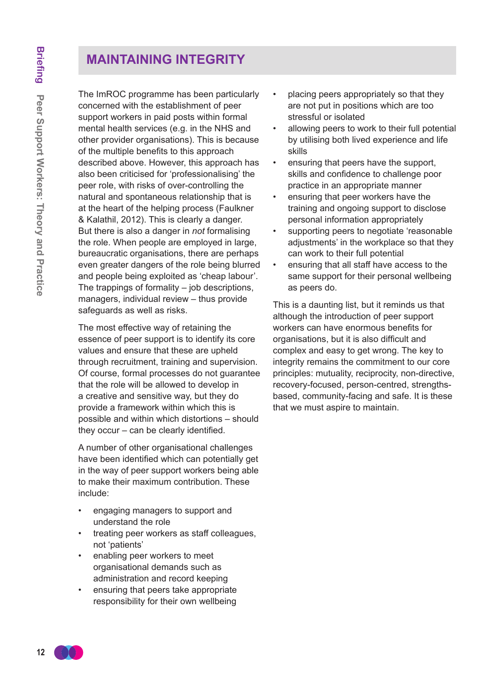# **MAINTAINING INTEGRITY**

The ImROC programme has been particularly concerned with the establishment of peer support workers in paid posts within formal mental health services (e.g. in the NHS and other provider organisations). This is because of the multiple benefits to this approach described above. However, this approach has also been criticised for 'professionalising' the peer role, with risks of over-controlling the natural and spontaneous relationship that is at the heart of the helping process (Faulkner & Kalathil, 2012). This is clearly a danger. But there is also a danger in *not* formalising the role. When people are employed in large, bureaucratic organisations, there are perhaps even greater dangers of the role being blurred and people being exploited as 'cheap labour'. The trappings of formality  $-$  job descriptions, managers, individual review – thus provide safeguards as well as risks.

The most effective way of retaining the essence of peer support is to identify its core values and ensure that these are upheld through recruitment, training and supervision. Of course, formal processes do not guarantee that the role will be allowed to develop in a creative and sensitive way, but they do provide a framework within which this is possible and within which distortions – should they occur – can be clearly identified.

A number of other organisational challenges have been identified which can potentially get in the way of peer support workers being able to make their maximum contribution. These include:

- engaging managers to support and understand the role
- treating peer workers as staff colleagues, not 'patients'
- enabling peer workers to meet organisational demands such as administration and record keeping
- ensuring that peers take appropriate responsibility for their own wellbeing
- placing peers appropriately so that they are not put in positions which are too stressful or isolated
- allowing peers to work to their full potential by utilising both lived experience and life skills
- ensuring that peers have the support, skills and confidence to challenge poor practice in an appropriate manner
- ensuring that peer workers have the training and ongoing support to disclose personal information appropriately
- supporting peers to negotiate 'reasonable adjustments' in the workplace so that they can work to their full potential
- ensuring that all staff have access to the same support for their personal wellbeing as peers do.

This is a daunting list, but it reminds us that although the introduction of peer support workers can have enormous benefits for organisations, but it is also difficult and complex and easy to get wrong. The key to integrity remains the commitment to our core principles: mutuality, reciprocity, non-directive, recovery-focused, person-centred, strengthsbased, community-facing and safe. It is these that we must aspire to maintain.

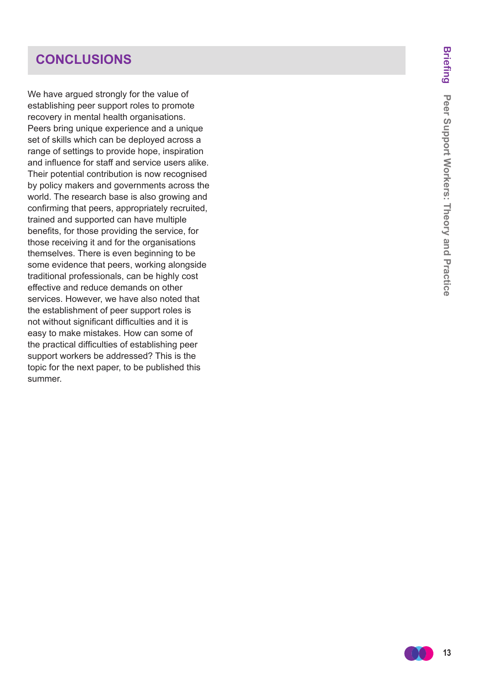# **CONCLUSIONS**

We have argued strongly for the value of establishing peer support roles to promote recovery in mental health organisations. Peers bring unique experience and a unique set of skills which can be deployed across a range of settings to provide hope, inspiration and influence for staff and service users alike. Their potential contribution is now recognised by policy makers and governments across the world. The research base is also growing and confirming that peers, appropriately recruited, trained and supported can have multiple benefits, for those providing the service, for those receiving it and for the organisations themselves. There is even beginning to be some evidence that peers, working alongside traditional professionals, can be highly cost effective and reduce demands on other services. However, we have also noted that the establishment of peer support roles is not without significant difficulties and it is easy to make mistakes. How can some of the practical difficulties of establishing peer support workers be addressed? This is the topic for the next paper, to be published this summer.

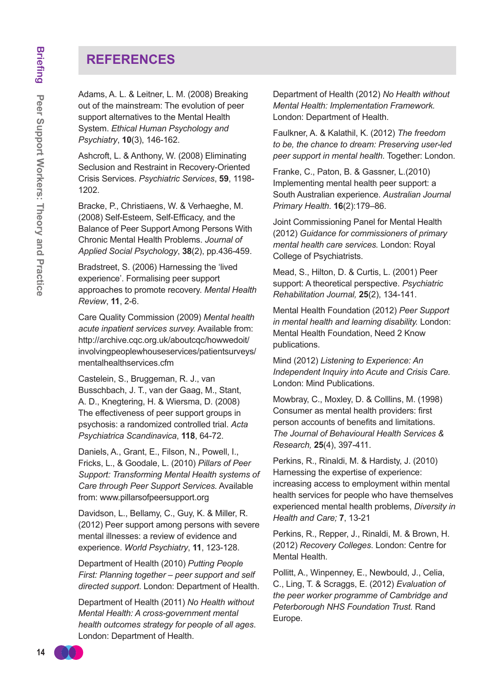#### **REFERENCES**

Adams, A. L. & Leitner, L. M. (2008) Breaking out of the mainstream: The evolution of peer support alternatives to the Mental Health System. *Ethical Human Psychology and Psychiatry*, **10**(3), 146-162.

Ashcroft, L. & Anthony, W. (2008) Eliminating Seclusion and Restraint in Recovery-Oriented Crisis Services. *Psychiatric Services*, **59**, 1198- 1202.

Bracke, P., Christiaens, W. & Verhaeghe, M. (2008) Self-Esteem, Self-Efficacy, and the Balance of Peer Support Among Persons With Chronic Mental Health Problems. *Journal of Applied Social Psychology*, **38**(2), pp.436-459.

Bradstreet, S. (2006) Harnessing the 'lived experience'. Formalising peer support approaches to promote recovery. *Mental Health Review*, **11**, 2-6.

Care Quality Commission (2009) *Mental health acute inpatient services survey.* Available from: [http://archive.cqc.org.uk/aboutcqc/howwedoit/](http://archive.cqc.org.uk/aboutcqc/howwedoit/involvingpeoplewhouseservices/patientsurveys/mentalhealthservices.cfm) [involvingpeoplewhouseservices/patientsurveys/](http://archive.cqc.org.uk/aboutcqc/howwedoit/involvingpeoplewhouseservices/patientsurveys/mentalhealthservices.cfm) [mentalhealthservices.cfm](http://archive.cqc.org.uk/aboutcqc/howwedoit/involvingpeoplewhouseservices/patientsurveys/mentalhealthservices.cfm)

Castelein, S., Bruggeman, R. J., van Busschbach, J. T., van der Gaag, M., Stant, A. D., Knegtering, H. & Wiersma, D. (2008) The effectiveness of peer support groups in psychosis: a randomized controlled trial. *Acta Psychiatrica Scandinavica*, **118**, 64-72.

Daniels, A., Grant, E., Filson, N., Powell, I., Fricks, L., & Goodale, L. (2010) *Pillars of Peer Support: Transforming Mental Health systems of Care through Peer Support Services.* Available from:<www.pillarsofpeersupport.org>

Davidson, L., Bellamy, C., Guy, K. & Miller, R. (2012) Peer support among persons with severe mental illnesses: a review of evidence and experience. *World Psychiatry*, **11**, 123-128.

Department of Health (2010) *Putting People First: Planning together – peer support and self directed support*. London: Department of Health.

Department of Health (2011) *No Health without Mental Health: A cross-government mental health outcomes strategy for people of all ages*. London: Department of Health.

Department of Health (2012) *No Health without Mental Health: Implementation Framework.* London: Department of Health.

Faulkner, A. & Kalathil, K. (2012) *The freedom to be, the chance to dream: Preserving user-led peer support in mental health.* Together: London.

Franke, C., Paton, B. & Gassner, L.(2010) Implementing mental health peer support: a South Australian experience. *Australian Journal Primary Health*. **16**(2):179–86.

Joint Commissioning Panel for Mental Health (2012) *Guidance for commissioners of primary mental health care services.* London: Royal College of Psychiatrists.

Mead, S., Hilton, D. & Curtis, L. (2001) Peer support: A theoretical perspective. *Psychiatric Rehabilitation Journal,* **25**(2), 134-141.

Mental Health Foundation (2012) *Peer Support in mental health and learning disability.* London: Mental Health Foundation, Need 2 Know publications.

Mind (2012) *Listening to Experience: An Independent Inquiry into Acute and Crisis Care.* London: Mind Publications.

Mowbray, C., Moxley, D. & Colllins, M. (1998) Consumer as mental health providers: first person accounts of benefits and limitations. *The Journal of Behavioural Health Services & Research,* **25**(4), 397-411.

Perkins, R., Rinaldi, M. & Hardisty, J. (2010) Harnessing the expertise of experience: increasing access to employment within mental health services for people who have themselves experienced mental health problems, *Diversity in Health and Care;* **7**, 13-21

Perkins, R., Repper, J., Rinaldi, M. & Brown, H. (2012) *Recovery Colleges*. London: Centre for Mental Health.

Pollitt, A., Winpenney, E., Newbould, J., Celia, C., Ling, T. & Scraggs, E. (2012) *Evaluation of the peer worker programme of Cambridge and Peterborough NHS Foundation Trust.* Rand Europe.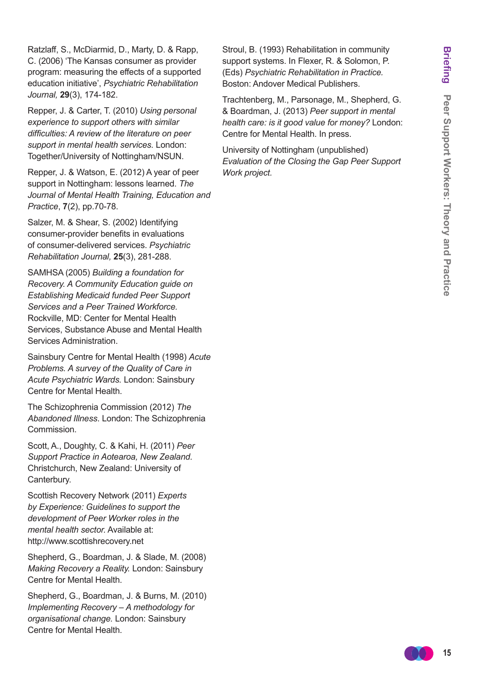Ratzlaff, S., McDiarmid, D., Marty, D. & Rapp, C. (2006) 'The Kansas consumer as provider program: measuring the effects of a supported education initiative', *Psychiatric Rehabilitation Journal,* **29**(3), 174-182.

Repper, J. & Carter, T. (2010) *Using personal experience to support others with similar difficulties: A review of the literature on peer support in mental health services.* London: Together/University of Nottingham/NSUN.

Repper, J. & Watson, E. (2012) A year of peer support in Nottingham: lessons learned. *The Journal of Mental Health Training, Education and Practice*, **7**(2), pp.70-78.

Salzer, M. & Shear, S. (2002) Identifying consumer-provider benefits in evaluations of consumer-delivered services. *Psychiatric Rehabilitation Journal,* **25**(3), 281-288.

SAMHSA (2005) *Building a foundation for Recovery. A Community Education guide on Establishing Medicaid funded Peer Support Services and a Peer Trained Workforce.*  Rockville, MD: Center for Mental Health Services, Substance Abuse and Mental Health Services Administration.

Sainsbury Centre for Mental Health (1998) *Acute Problems. A survey of the Quality of Care in Acute Psychiatric Wards.* London: Sainsbury Centre for Mental Health.

The Schizophrenia Commission (2012) *The Abandoned Illness*. London: The Schizophrenia Commission.

Scott, A., Doughty, C. & Kahi, H. (2011) *Peer Support Practice in Aotearoa, New Zealand.*  Christchurch, New Zealand: University of Canterbury.

Scottish Recovery Network (2011) *Experts by Experience: Guidelines to support the development of Peer Worker roles in the mental health sector.* Available at: <http://www.scottishrecovery.net>

Shepherd, G., Boardman, J. & Slade, M. (2008) *Making Recovery a Reality.* London: Sainsbury Centre for Mental Health.

Shepherd, G., Boardman, J. & Burns, M. (2010) *Implementing Recovery – A methodology for organisational change.* London: Sainsbury Centre for Mental Health.

Stroul, B. (1993) Rehabilitation in community support systems. In Flexer, R. & Solomon, P. (Eds) *Psychiatric Rehabilitation in Practice.*  Boston: Andover Medical Publishers.

Trachtenberg, M., Parsonage, M., Shepherd, G. & Boardman, J. (2013) *Peer support in mental health care: is it good value for money?* London: Centre for Mental Health. In press.

University of Nottingham (unpublished) *Evaluation of the Closing the Gap Peer Support Work project.*